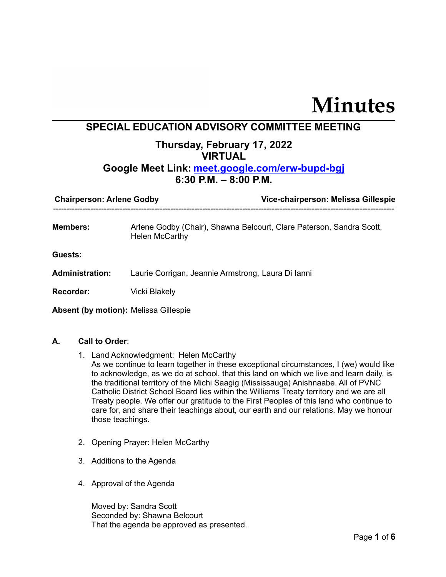# **Minutes**

## **SPECIAL EDUCATION ADVISORY COMMITTEE MEETING**

# **Thursday, February 17, 2022 VIRTUAL**

### **Google Meet Link: [meet.google.com/erw-bupd-bgj](http://meet.google.com/erw-bupd-bgj) 6:30 P.M. – 8:00 P.M.**

|                                                                                                           | Vice-chairperson: Melissa Gillespie |  |
|-----------------------------------------------------------------------------------------------------------|-------------------------------------|--|
| <b>Members:</b><br>Arlene Godby (Chair), Shawna Belcourt, Clare Paterson, Sandra Scott,<br>Helen McCarthy |                                     |  |
| <b>Guests:</b>                                                                                            |                                     |  |
| <b>Administration:</b><br>Laurie Corrigan, Jeannie Armstrong, Laura Di lanni                              |                                     |  |
| <b>Recorder:</b><br>Vicki Blakely                                                                         |                                     |  |

**Absent (by motion):** Melissa Gillespie

#### **A. Call to Order**:

- 1. Land Acknowledgment: Helen McCarthy As we continue to learn together in these exceptional circumstances, I (we) would like to acknowledge, as we do at school, that this land on which we live and learn daily, is the traditional territory of the Michi Saagig (Mississauga) Anishnaabe. All of PVNC Catholic District School Board lies within the Williams Treaty territory and we are all Treaty people. We offer our gratitude to the First Peoples of this land who continue to care for, and share their teachings about, our earth and our relations. May we honour those teachings.
- 2. Opening Prayer: Helen McCarthy
- 3. Additions to the Agenda
- 4. Approval of the Agenda

Moved by: Sandra Scott Seconded by: Shawna Belcourt That the agenda be approved as presented.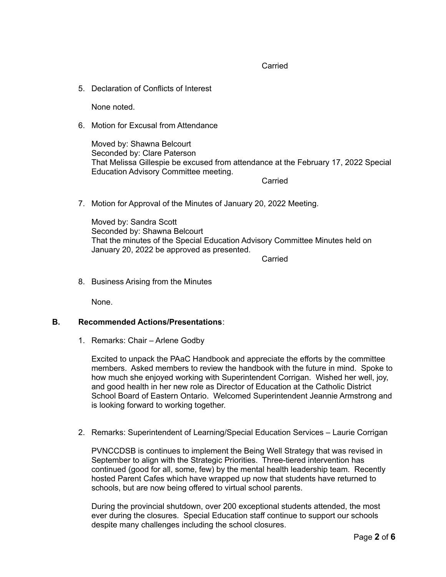Carried

5. Declaration of Conflicts of Interest

None noted.

6. Motion for Excusal from Attendance

Moved by: Shawna Belcourt Seconded by: Clare Paterson That Melissa Gillespie be excused from attendance at the February 17, 2022 Special Education Advisory Committee meeting.

**Carried** 

7. Motion for Approval of the Minutes of January 20, 2022 Meeting.

Moved by: Sandra Scott Seconded by: Shawna Belcourt That the minutes of the Special Education Advisory Committee Minutes held on January 20, 2022 be approved as presented.

Carried

8. Business Arising from the Minutes

None.

#### **B. Recommended Actions/Presentations**:

1. Remarks: Chair – Arlene Godby

Excited to unpack the PAaC Handbook and appreciate the efforts by the committee members. Asked members to review the handbook with the future in mind. Spoke to how much she enjoyed working with Superintendent Corrigan. Wished her well, joy, and good health in her new role as Director of Education at the Catholic District School Board of Eastern Ontario. Welcomed Superintendent Jeannie Armstrong and is looking forward to working together.

2. Remarks: Superintendent of Learning/Special Education Services – Laurie Corrigan

PVNCCDSB is continues to implement the Being Well Strategy that was revised in September to align with the Strategic Priorities. Three-tiered intervention has continued (good for all, some, few) by the mental health leadership team. Recently hosted Parent Cafes which have wrapped up now that students have returned to schools, but are now being offered to virtual school parents.

During the provincial shutdown, over 200 exceptional students attended, the most ever during the closures. Special Education staff continue to support our schools despite many challenges including the school closures.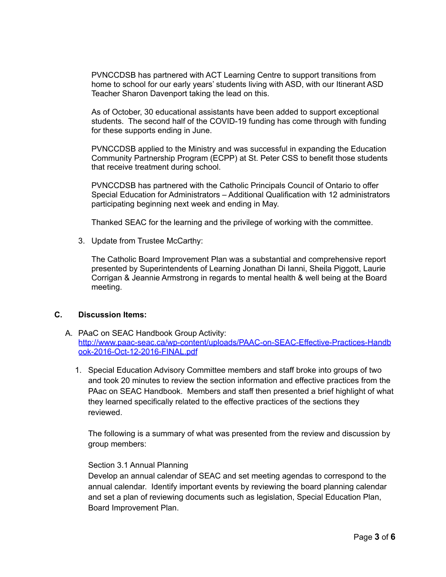PVNCCDSB has partnered with ACT Learning Centre to support transitions from home to school for our early years' students living with ASD, with our Itinerant ASD Teacher Sharon Davenport taking the lead on this.

As of October, 30 educational assistants have been added to support exceptional students. The second half of the COVID-19 funding has come through with funding for these supports ending in June.

PVNCCDSB applied to the Ministry and was successful in expanding the Education Community Partnership Program (ECPP) at St. Peter CSS to benefit those students that receive treatment during school.

PVNCCDSB has partnered with the Catholic Principals Council of Ontario to offer Special Education for Administrators – Additional Qualification with 12 administrators participating beginning next week and ending in May.

Thanked SEAC for the learning and the privilege of working with the committee.

3. Update from Trustee McCarthy:

The Catholic Board Improvement Plan was a substantial and comprehensive report presented by Superintendents of Learning Jonathan Di Ianni, Sheila Piggott, Laurie Corrigan & Jeannie Armstrong in regards to mental health & well being at the Board meeting.

#### **C. Discussion Items:**

- A. PAaC on SEAC Handbook Group Activity: [http://www.paac-seac.ca/wp-content/uploads/PAAC-on-SEAC-Effective-Practices-Handb](http://www.paac-seac.ca/wp-content/uploads/PAAC-on-SEAC-Effective-Practices-Handbook-2016-Oct-12-2016-FINAL.pdf) [ook-2016-Oct-12-2016-FINAL.pdf](http://www.paac-seac.ca/wp-content/uploads/PAAC-on-SEAC-Effective-Practices-Handbook-2016-Oct-12-2016-FINAL.pdf)
	- 1. Special Education Advisory Committee members and staff broke into groups of two and took 20 minutes to review the section information and effective practices from the PAac on SEAC Handbook. Members and staff then presented a brief highlight of what they learned specifically related to the effective practices of the sections they reviewed.

The following is a summary of what was presented from the review and discussion by group members:

#### Section 3.1 Annual Planning

Develop an annual calendar of SEAC and set meeting agendas to correspond to the annual calendar. Identify important events by reviewing the board planning calendar and set a plan of reviewing documents such as legislation, Special Education Plan, Board Improvement Plan.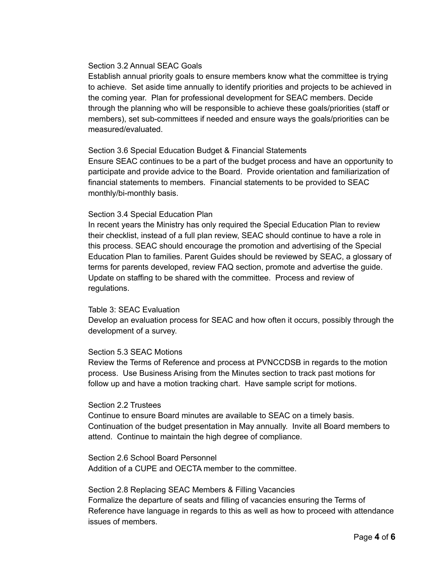#### Section 3.2 Annual SEAC Goals

Establish annual priority goals to ensure members know what the committee is trying to achieve. Set aside time annually to identify priorities and projects to be achieved in the coming year. Plan for professional development for SEAC members. Decide through the planning who will be responsible to achieve these goals/priorities (staff or members), set sub-committees if needed and ensure ways the goals/priorities can be measured/evaluated.

#### Section 3.6 Special Education Budget & Financial Statements

Ensure SEAC continues to be a part of the budget process and have an opportunity to participate and provide advice to the Board. Provide orientation and familiarization of financial statements to members. Financial statements to be provided to SEAC monthly/bi-monthly basis.

#### Section 3.4 Special Education Plan

In recent years the Ministry has only required the Special Education Plan to review their checklist, instead of a full plan review, SEAC should continue to have a role in this process. SEAC should encourage the promotion and advertising of the Special Education Plan to families. Parent Guides should be reviewed by SEAC, a glossary of terms for parents developed, review FAQ section, promote and advertise the guide. Update on staffing to be shared with the committee. Process and review of regulations.

#### Table 3: SEAC Evaluation

Develop an evaluation process for SEAC and how often it occurs, possibly through the development of a survey.

#### Section 5.3 SEAC Motions

Review the Terms of Reference and process at PVNCCDSB in regards to the motion process. Use Business Arising from the Minutes section to track past motions for follow up and have a motion tracking chart. Have sample script for motions.

#### Section 2.2 Trustees

Continue to ensure Board minutes are available to SEAC on a timely basis. Continuation of the budget presentation in May annually. Invite all Board members to attend. Continue to maintain the high degree of compliance.

Section 2.6 School Board Personnel Addition of a CUPE and OECTA member to the committee.

#### Section 2.8 Replacing SEAC Members & Filling Vacancies

Formalize the departure of seats and filling of vacancies ensuring the Terms of Reference have language in regards to this as well as how to proceed with attendance issues of members.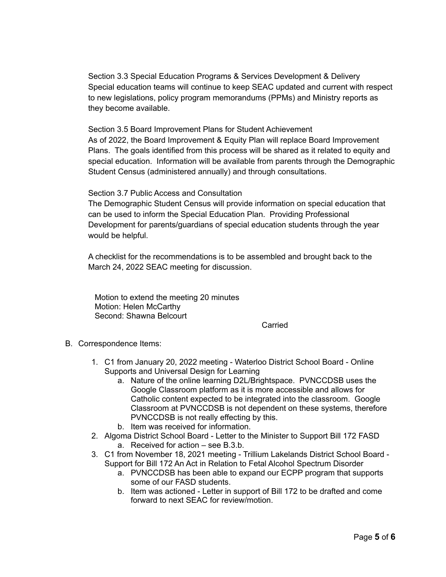Section 3.3 Special Education Programs & Services Development & Delivery Special education teams will continue to keep SEAC updated and current with respect to new legislations, policy program memorandums (PPMs) and Ministry reports as they become available.

Section 3.5 Board Improvement Plans for Student Achievement As of 2022, the Board Improvement & Equity Plan will replace Board Improvement Plans. The goals identified from this process will be shared as it related to equity and special education. Information will be available from parents through the Demographic Student Census (administered annually) and through consultations.

Section 3.7 Public Access and Consultation

The Demographic Student Census will provide information on special education that can be used to inform the Special Education Plan. Providing Professional Development for parents/guardians of special education students through the year would be helpful.

A checklist for the recommendations is to be assembled and brought back to the March 24, 2022 SEAC meeting for discussion.

Motion to extend the meeting 20 minutes Motion: Helen McCarthy Second: Shawna Belcourt

**Carried** 

- B. Correspondence Items:
	- 1. C1 from January 20, 2022 meeting Waterloo District School Board Online Supports and Universal Design for Learning
		- a. Nature of the online learning D2L/Brightspace. PVNCCDSB uses the Google Classroom platform as it is more accessible and allows for Catholic content expected to be integrated into the classroom. Google Classroom at PVNCCDSB is not dependent on these systems, therefore PVNCCDSB is not really effecting by this.
		- b. Item was received for information.
	- 2. Algoma District School Board Letter to the Minister to Support Bill 172 FASD a. Received for action – see B.3.b.
	- 3. C1 from November 18, 2021 meeting Trillium Lakelands District School Board Support for Bill 172 An Act in Relation to Fetal Alcohol Spectrum Disorder
		- a. PVNCCDSB has been able to expand our ECPP program that supports some of our FASD students.
		- b. Item was actioned Letter in support of Bill 172 to be drafted and come forward to next SEAC for review/motion.